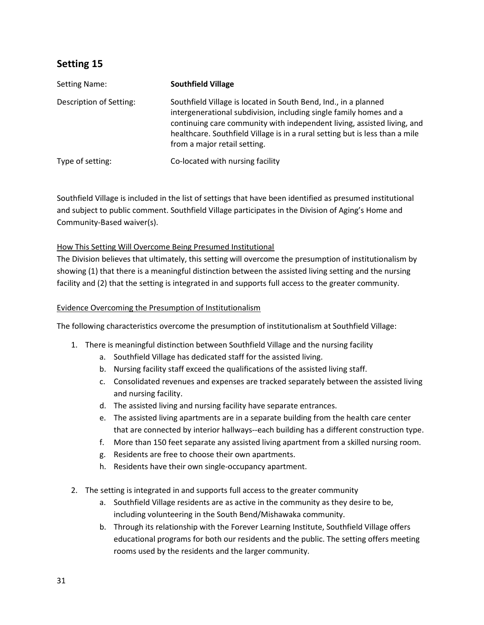| Setting Name:           | <b>Southfield Village</b>                                                                                                                                                                                                                                                                                                        |
|-------------------------|----------------------------------------------------------------------------------------------------------------------------------------------------------------------------------------------------------------------------------------------------------------------------------------------------------------------------------|
| Description of Setting: | Southfield Village is located in South Bend, Ind., in a planned<br>intergenerational subdivision, including single family homes and a<br>continuing care community with independent living, assisted living, and<br>healthcare. Southfield Village is in a rural setting but is less than a mile<br>from a major retail setting. |
| Type of setting:        | Co-located with nursing facility                                                                                                                                                                                                                                                                                                 |

 Southfield Village is included in the list of settings that have been identified as presumed institutional and subject to public comment. Southfield Village participates in the Division of Aging's Home and Community-Based waiver(s).

## How This Setting Will Overcome Being Presumed Institutional

 The Division believes that ultimately, this setting will overcome the presumption of institutionalism by showing (1) that there is a meaningful distinction between the assisted living setting and the nursing facility and (2) that the setting is integrated in and supports full access to the greater community.

#### Evidence Overcoming the Presumption of Institutionalism

The following characteristics overcome the presumption of institutionalism at Southfield Village:

- 1. There is meaningful distinction between Southfield Village and the nursing facility
	- a. Southfield Village has dedicated staff for the assisted living.
	- b. Nursing facility staff exceed the qualifications of the assisted living staff.
	- c. Consolidated revenues and expenses are tracked separately between the assisted living and nursing facility.
	- d. The assisted living and nursing facility have separate entrances.
	- e. The assisted living apartments are in a separate building from the health care center that are connected by interior hallways--each building has a different construction type.
	- f. More than 150 feet separate any assisted living apartment from a skilled nursing room.
	- g. Residents are free to choose their own apartments.
	- h. Residents have their own single-occupancy apartment.
- 2. The setting is integrated in and supports full access to the greater community
	- a. Southfield Village residents are as active in the community as they desire to be, including volunteering in the South Bend/Mishawaka community.
	- b. Through its relationship with the Forever Learning Institute, Southfield Village offers educational programs for both our residents and the public. The setting offers meeting rooms used by the residents and the larger community.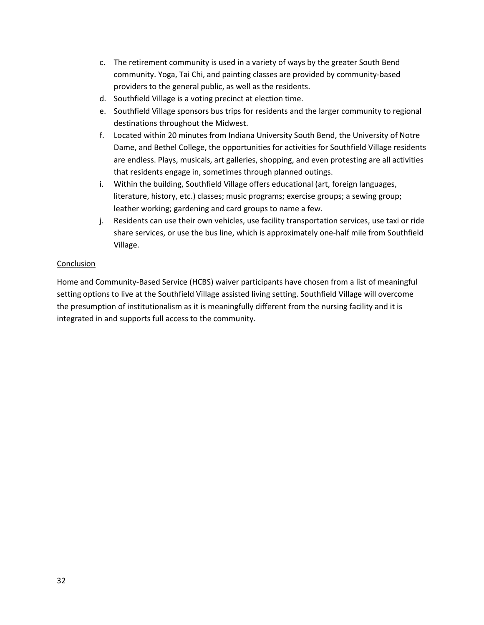- c. The retirement community is used in a variety of ways by the greater South Bend community. Yoga, Tai Chi, and painting classes are provided by community-based providers to the general public, as well as the residents.
- d. Southfield Village is a voting precinct at election time.
- e. Southfield Village sponsors bus trips for residents and the larger community to regional destinations throughout the Midwest.
- f. Located within 20 minutes from Indiana University South Bend, the University of Notre Dame, and Bethel College, the opportunities for activities for Southfield Village residents are endless. Plays, musicals, art galleries, shopping, and even protesting are all activities that residents engage in, sometimes through planned outings.
- i. Within the building, Southfield Village offers educational (art, foreign languages, literature, history, etc.) classes; music programs; exercise groups; a sewing group; leather working; gardening and card groups to name a few.
- j. Residents can use their own vehicles, use facility transportation services, use taxi or ride share services, or use the bus line, which is approximately one-half mile from Southfield Village.

 Home and Community-Based Service (HCBS) waiver participants have chosen from a list of meaningful setting options to live at the Southfield Village assisted living setting. Southfield Village will overcome the presumption of institutionalism as it is meaningfully different from the nursing facility and it is integrated in and supports full access to the community.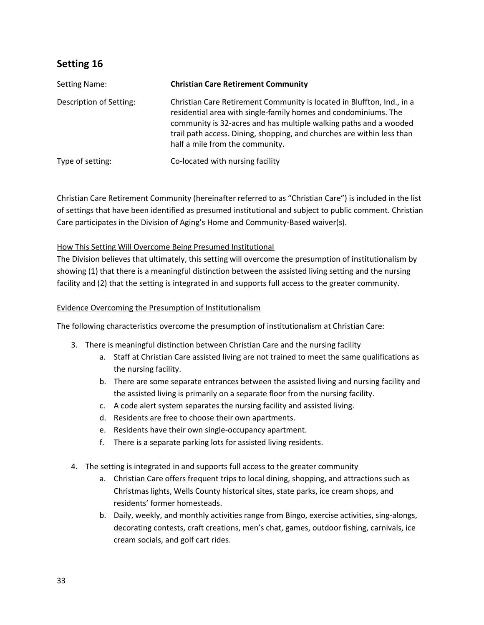| Setting Name:           | <b>Christian Care Retirement Community</b>                                                                                                                                                                                                                                                                                  |
|-------------------------|-----------------------------------------------------------------------------------------------------------------------------------------------------------------------------------------------------------------------------------------------------------------------------------------------------------------------------|
| Description of Setting: | Christian Care Retirement Community is located in Bluffton, Ind., in a<br>residential area with single-family homes and condominiums. The<br>community is 32-acres and has multiple walking paths and a wooded<br>trail path access. Dining, shopping, and churches are within less than<br>half a mile from the community. |
| Type of setting:        | Co-located with nursing facility                                                                                                                                                                                                                                                                                            |

 Christian Care Retirement Community (hereinafter referred to as "Christian Care") is included in the list of settings that have been identified as presumed institutional and subject to public comment. Christian Care participates in the Division of Aging's Home and Community-Based waiver(s).

## How This Setting Will Overcome Being Presumed Institutional

 The Division believes that ultimately, this setting will overcome the presumption of institutionalism by showing (1) that there is a meaningful distinction between the assisted living setting and the nursing facility and (2) that the setting is integrated in and supports full access to the greater community.

#### Evidence Overcoming the Presumption of Institutionalism

The following characteristics overcome the presumption of institutionalism at Christian Care:

- 3. There is meaningful distinction between Christian Care and the nursing facility
	- a. Staff at Christian Care assisted living are not trained to meet the same qualifications as the nursing facility.
	- b. There are some separate entrances between the assisted living and nursing facility and the assisted living is primarily on a separate floor from the nursing facility.
	- c. A code alert system separates the nursing facility and assisted living.
	- d. Residents are free to choose their own apartments.
	- e. Residents have their own single-occupancy apartment.
	- f. There is a separate parking lots for assisted living residents.
- 4. The setting is integrated in and supports full access to the greater community
	- a. Christian Care offers frequent trips to local dining, shopping, and attractions such as Christmas lights, Wells County historical sites, state parks, ice cream shops, and residents' former homesteads.
	- b. Daily, weekly, and monthly activities range from Bingo, exercise activities, sing-alongs, decorating contests, craft creations, men's chat, games, outdoor fishing, carnivals, ice cream socials, and golf cart rides.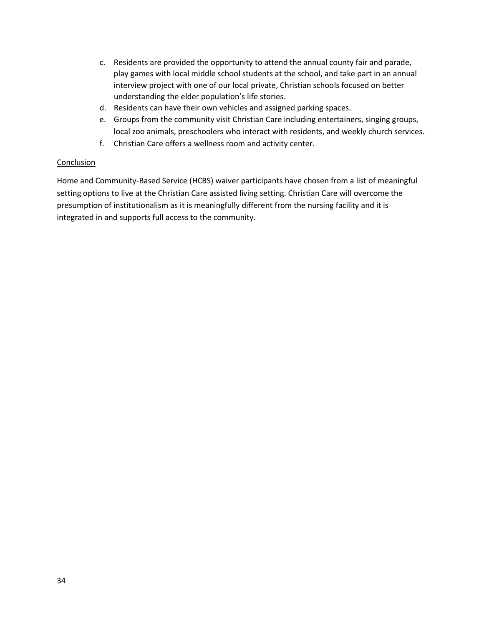- c. Residents are provided the opportunity to attend the annual county fair and parade, play games with local middle school students at the school, and take part in an annual interview project with one of our local private, Christian schools focused on better understanding the elder population's life stories.
- d. Residents can have their own vehicles and assigned parking spaces.
- e. Groups from the community visit Christian Care including entertainers, singing groups, local zoo animals, preschoolers who interact with residents, and weekly church services.
- f. Christian Care offers a wellness room and activity center.

 Home and Community-Based Service (HCBS) waiver participants have chosen from a list of meaningful setting options to live at the Christian Care assisted living setting. Christian Care will overcome the presumption of institutionalism as it is meaningfully different from the nursing facility and it is integrated in and supports full access to the community.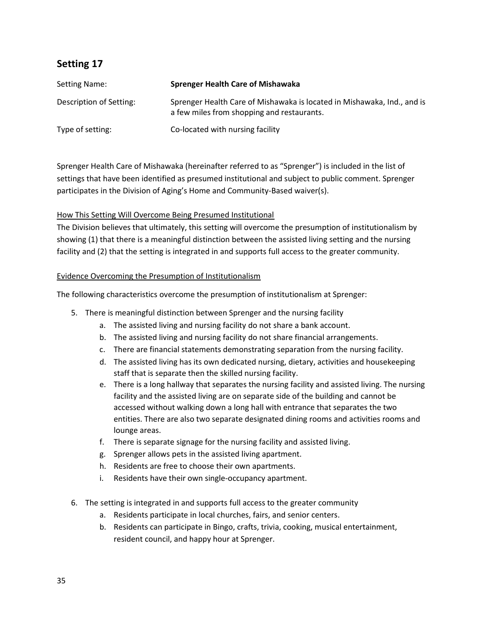| <b>Setting Name:</b>    | <b>Sprenger Health Care of Mishawaka</b>                                                                              |
|-------------------------|-----------------------------------------------------------------------------------------------------------------------|
| Description of Setting: | Sprenger Health Care of Mishawaka is located in Mishawaka, Ind., and is<br>a few miles from shopping and restaurants. |
| Type of setting:        | Co-located with nursing facility                                                                                      |

 Sprenger Health Care of Mishawaka (hereinafter referred to as "Sprenger") is included in the list of settings that have been identified as presumed institutional and subject to public comment. Sprenger participates in the Division of Aging's Home and Community-Based waiver(s).

## How This Setting Will Overcome Being Presumed Institutional

 The Division believes that ultimately, this setting will overcome the presumption of institutionalism by showing (1) that there is a meaningful distinction between the assisted living setting and the nursing facility and (2) that the setting is integrated in and supports full access to the greater community.

## Evidence Overcoming the Presumption of Institutionalism

The following characteristics overcome the presumption of institutionalism at Sprenger:

- 5. There is meaningful distinction between Sprenger and the nursing facility
	- a. The assisted living and nursing facility do not share a bank account.
	- b. The assisted living and nursing facility do not share financial arrangements.
	- c. There are financial statements demonstrating separation from the nursing facility.
	- d. The assisted living has its own dedicated nursing, dietary, activities and housekeeping staff that is separate then the skilled nursing facility.
	- e. There is a long hallway that separates the nursing facility and assisted living. The nursing facility and the assisted living are on separate side of the building and cannot be accessed without walking down a long hall with entrance that separates the two entities. There are also two separate designated dining rooms and activities rooms and lounge areas.
	- f. There is separate signage for the nursing facility and assisted living.
	- g. Sprenger allows pets in the assisted living apartment.
	- h. Residents are free to choose their own apartments.
	- i. Residents have their own single-occupancy apartment.
- 6. The setting is integrated in and supports full access to the greater community
	- a. Residents participate in local churches, fairs, and senior centers.
	- resident council, and happy hour at Sprenger. b. Residents can participate in Bingo, crafts, trivia, cooking, musical entertainment,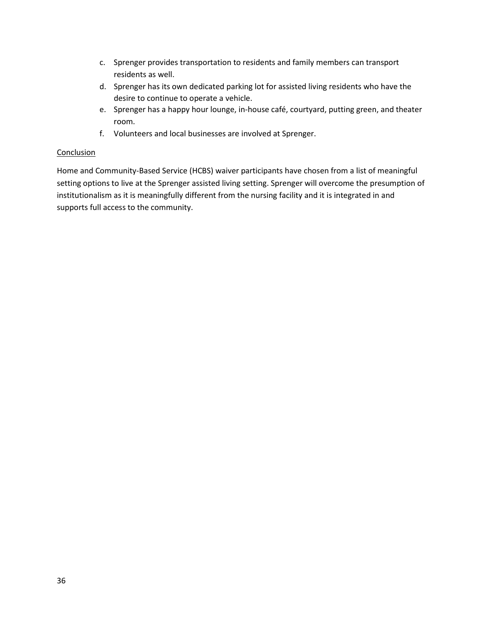- c. Sprenger provides transportation to residents and family members can transport residents as well.
- d. Sprenger has its own dedicated parking lot for assisted living residents who have the desire to continue to operate a vehicle.
- e. Sprenger has a happy hour lounge, in-house café, courtyard, putting green, and theater room.
- f. Volunteers and local businesses are involved at Sprenger.

 Home and Community-Based Service (HCBS) waiver participants have chosen from a list of meaningful setting options to live at the Sprenger assisted living setting. Sprenger will overcome the presumption of institutionalism as it is meaningfully different from the nursing facility and it is integrated in and supports full access to the community.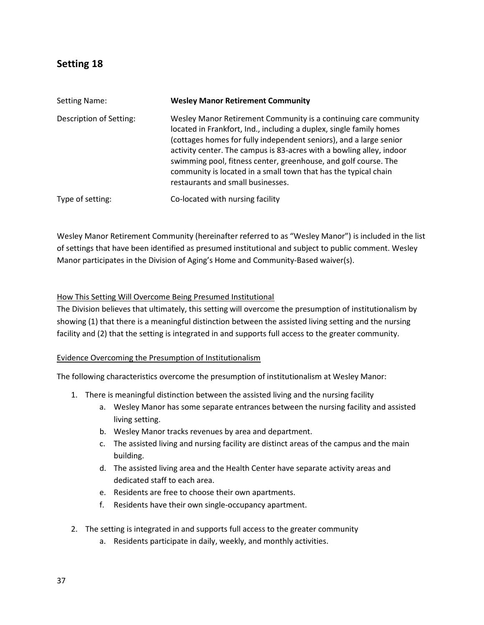| <b>Setting Name:</b>    | <b>Wesley Manor Retirement Community</b>                                                                                                                                                                                                                                                                                                                                                                                                                         |
|-------------------------|------------------------------------------------------------------------------------------------------------------------------------------------------------------------------------------------------------------------------------------------------------------------------------------------------------------------------------------------------------------------------------------------------------------------------------------------------------------|
| Description of Setting: | Wesley Manor Retirement Community is a continuing care community<br>located in Frankfort, Ind., including a duplex, single family homes<br>(cottages homes for fully independent seniors), and a large senior<br>activity center. The campus is 83-acres with a bowling alley, indoor<br>swimming pool, fitness center, greenhouse, and golf course. The<br>community is located in a small town that has the typical chain<br>restaurants and small businesses. |
| Type of setting:        | Co-located with nursing facility                                                                                                                                                                                                                                                                                                                                                                                                                                 |

 Wesley Manor Retirement Community (hereinafter referred to as "Wesley Manor") is included in the list of settings that have been identified as presumed institutional and subject to public comment. Wesley Manor participates in the Division of Aging's Home and Community-Based waiver(s).

## How This Setting Will Overcome Being Presumed Institutional

 The Division believes that ultimately, this setting will overcome the presumption of institutionalism by showing (1) that there is a meaningful distinction between the assisted living setting and the nursing facility and (2) that the setting is integrated in and supports full access to the greater community.

#### Evidence Overcoming the Presumption of Institutionalism

The following characteristics overcome the presumption of institutionalism at Wesley Manor:

- 1. There is meaningful distinction between the assisted living and the nursing facility
	- a. Wesley Manor has some separate entrances between the nursing facility and assisted living setting.
	- b. Wesley Manor tracks revenues by area and department.
	- c. The assisted living and nursing facility are distinct areas of the campus and the main building.
	- d. The assisted living area and the Health Center have separate activity areas and dedicated staff to each area.
	- e. Residents are free to choose their own apartments.
	- f. Residents have their own single-occupancy apartment.
- 2. The setting is integrated in and supports full access to the greater community
	- a. Residents participate in daily, weekly, and monthly activities.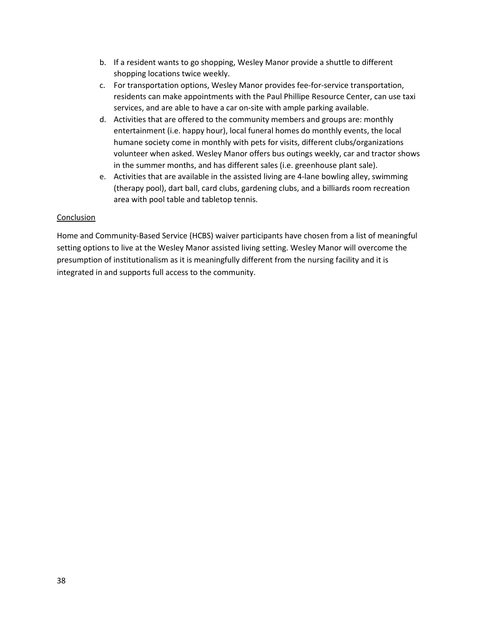- b. If a resident wants to go shopping, Wesley Manor provide a shuttle to different shopping locations twice weekly.
- c. For transportation options, Wesley Manor provides fee-for-service transportation, residents can make appointments with the Paul Phillipe Resource Center, can use taxi services, and are able to have a car on-site with ample parking available.
- d. Activities that are offered to the community members and groups are: monthly entertainment (i.e. happy hour), local funeral homes do monthly events, the local humane society come in monthly with pets for visits, different clubs/organizations volunteer when asked. Wesley Manor offers bus outings weekly, car and tractor shows in the summer months, and has different sales (i.e. greenhouse plant sale).
- e. Activities that are available in the assisted living are 4-lane bowling alley, swimming (therapy pool), dart ball, card clubs, gardening clubs, and a billiards room recreation area with pool table and tabletop tennis.

 Home and Community-Based Service (HCBS) waiver participants have chosen from a list of meaningful setting options to live at the Wesley Manor assisted living setting. Wesley Manor will overcome the presumption of institutionalism as it is meaningfully different from the nursing facility and it is integrated in and supports full access to the community.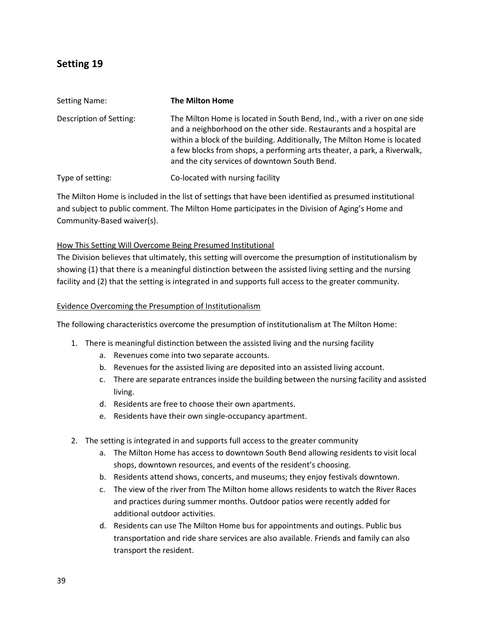| Setting Name:           | <b>The Milton Home</b>                                                                                                                                                                                                                                                                                                                                    |
|-------------------------|-----------------------------------------------------------------------------------------------------------------------------------------------------------------------------------------------------------------------------------------------------------------------------------------------------------------------------------------------------------|
| Description of Setting: | The Milton Home is located in South Bend, Ind., with a river on one side<br>and a neighborhood on the other side. Restaurants and a hospital are<br>within a block of the building. Additionally, The Milton Home is located<br>a few blocks from shops, a performing arts theater, a park, a Riverwalk,<br>and the city services of downtown South Bend. |
| Type of setting:        | Co-located with nursing facility                                                                                                                                                                                                                                                                                                                          |

 The Milton Home is included in the list of settings that have been identified as presumed institutional and subject to public comment. The Milton Home participates in the Division of Aging's Home and Community-Based waiver(s).

## How This Setting Will Overcome Being Presumed Institutional

 The Division believes that ultimately, this setting will overcome the presumption of institutionalism by showing (1) that there is a meaningful distinction between the assisted living setting and the nursing facility and (2) that the setting is integrated in and supports full access to the greater community.

## Evidence Overcoming the Presumption of Institutionalism

The following characteristics overcome the presumption of institutionalism at The Milton Home:

- 1. There is meaningful distinction between the assisted living and the nursing facility
	- a. Revenues come into two separate accounts.
	- b. Revenues for the assisted living are deposited into an assisted living account.
	- c. There are separate entrances inside the building between the nursing facility and assisted living.
	- d. Residents are free to choose their own apartments.
	- e. Residents have their own single-occupancy apartment.
- 2. The setting is integrated in and supports full access to the greater community
	- a. The Milton Home has access to downtown South Bend allowing residents to visit local shops, downtown resources, and events of the resident's choosing.
	- b. Residents attend shows, concerts, and museums; they enjoy festivals downtown.
	- c. The view of the river from The Milton home allows residents to watch the River Races and practices during summer months. Outdoor patios were recently added for additional outdoor activities.
	- d. Residents can use The Milton Home bus for appointments and outings. Public bus transportation and ride share services are also available. Friends and family can also transport the resident.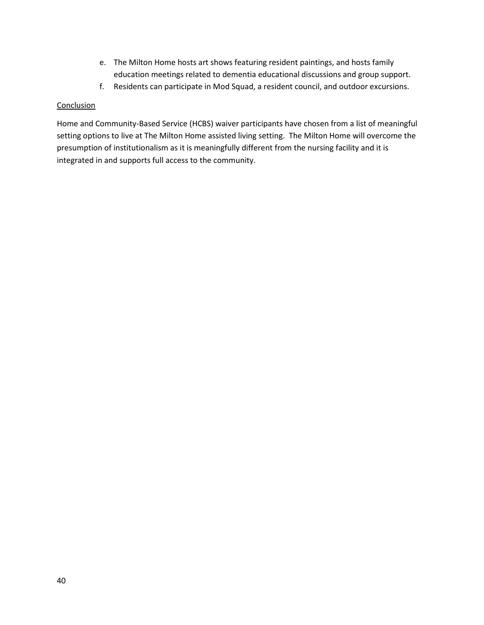- e. The Milton Home hosts art shows featuring resident paintings, and hosts family education meetings related to dementia educational discussions and group support.
- f. Residents can participate in Mod Squad, a resident council, and outdoor excursions.

 Home and Community-Based Service (HCBS) waiver participants have chosen from a list of meaningful setting options to live at The Milton Home assisted living setting. The Milton Home will overcome the presumption of institutionalism as it is meaningfully different from the nursing facility and it is integrated in and supports full access to the community.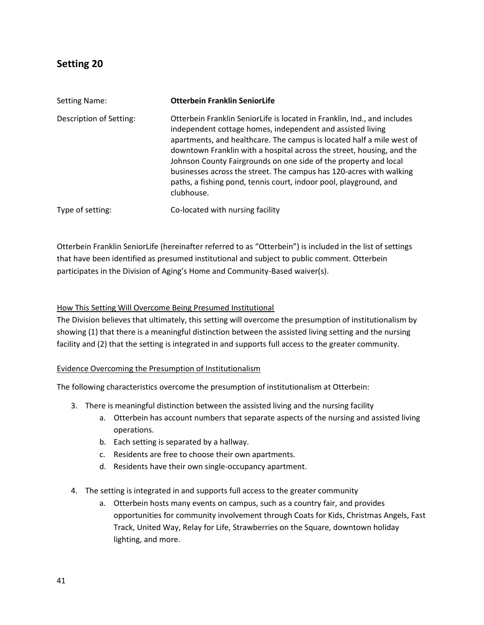| Setting Name:           | <b>Otterbein Franklin SeniorLife</b>                                                                                                                                                                                                                                                                                                                                                                                                                                                                                   |
|-------------------------|------------------------------------------------------------------------------------------------------------------------------------------------------------------------------------------------------------------------------------------------------------------------------------------------------------------------------------------------------------------------------------------------------------------------------------------------------------------------------------------------------------------------|
| Description of Setting: | Otterbein Franklin SeniorLife is located in Franklin, Ind., and includes<br>independent cottage homes, independent and assisted living<br>apartments, and healthcare. The campus is located half a mile west of<br>downtown Franklin with a hospital across the street, housing, and the<br>Johnson County Fairgrounds on one side of the property and local<br>businesses across the street. The campus has 120-acres with walking<br>paths, a fishing pond, tennis court, indoor pool, playground, and<br>clubhouse. |
| Type of setting:        | Co-located with nursing facility                                                                                                                                                                                                                                                                                                                                                                                                                                                                                       |

 Otterbein Franklin SeniorLife (hereinafter referred to as "Otterbein") is included in the list of settings that have been identified as presumed institutional and subject to public comment. Otterbein participates in the Division of Aging's Home and Community-Based waiver(s).

### How This Setting Will Overcome Being Presumed Institutional

 The Division believes that ultimately, this setting will overcome the presumption of institutionalism by showing (1) that there is a meaningful distinction between the assisted living setting and the nursing facility and (2) that the setting is integrated in and supports full access to the greater community.

#### Evidence Overcoming the Presumption of Institutionalism

The following characteristics overcome the presumption of institutionalism at Otterbein:

- 3. There is meaningful distinction between the assisted living and the nursing facility
	- a. Otterbein has account numbers that separate aspects of the nursing and assisted living operations.
	- b. Each setting is separated by a hallway.
	- c. Residents are free to choose their own apartments.
	- d. Residents have their own single-occupancy apartment.
- 4. The setting is integrated in and supports full access to the greater community
	- a. Otterbein hosts many events on campus, such as a country fair, and provides opportunities for community involvement through Coats for Kids, Christmas Angels, Fast Track, United Way, Relay for Life, Strawberries on the Square, downtown holiday lighting, and more.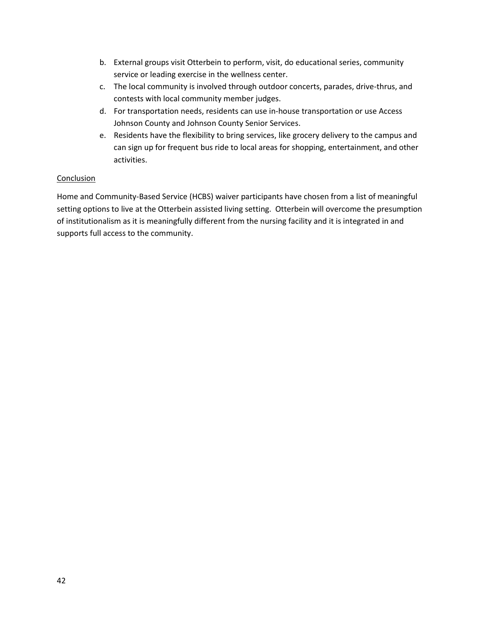- b. External groups visit Otterbein to perform, visit, do educational series, community service or leading exercise in the wellness center.
- c. The local community is involved through outdoor concerts, parades, drive-thrus, and contests with local community member judges.
- d. For transportation needs, residents can use in-house transportation or use Access Johnson County and Johnson County Senior Services.
- e. Residents have the flexibility to bring services, like grocery delivery to the campus and can sign up for frequent bus ride to local areas for shopping, entertainment, and other activities.

 Home and Community-Based Service (HCBS) waiver participants have chosen from a list of meaningful setting options to live at the Otterbein assisted living setting. Otterbein will overcome the presumption of institutionalism as it is meaningfully different from the nursing facility and it is integrated in and supports full access to the community.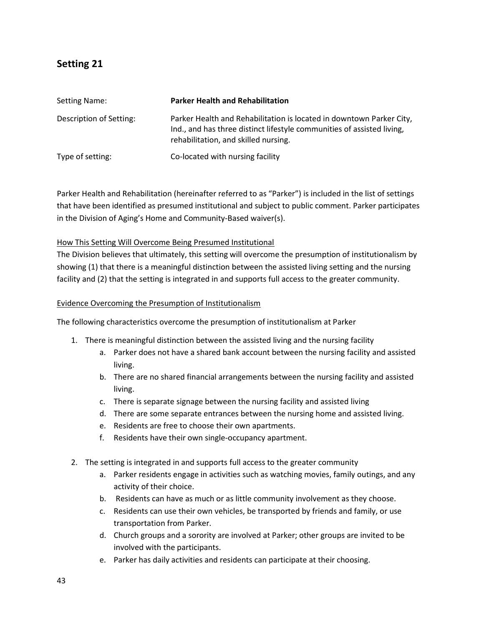| Setting Name:           | <b>Parker Health and Rehabilitation</b>                                                                                                                                                |
|-------------------------|----------------------------------------------------------------------------------------------------------------------------------------------------------------------------------------|
| Description of Setting: | Parker Health and Rehabilitation is located in downtown Parker City,<br>Ind., and has three distinct lifestyle communities of assisted living,<br>rehabilitation, and skilled nursing. |
| Type of setting:        | Co-located with nursing facility                                                                                                                                                       |

 Parker Health and Rehabilitation (hereinafter referred to as "Parker") is included in the list of settings that have been identified as presumed institutional and subject to public comment. Parker participates in the Division of Aging's Home and Community-Based waiver(s).

## How This Setting Will Overcome Being Presumed Institutional

 The Division believes that ultimately, this setting will overcome the presumption of institutionalism by showing (1) that there is a meaningful distinction between the assisted living setting and the nursing facility and (2) that the setting is integrated in and supports full access to the greater community.

## Evidence Overcoming the Presumption of Institutionalism

The following characteristics overcome the presumption of institutionalism at Parker

- 1. There is meaningful distinction between the assisted living and the nursing facility
	- a. Parker does not have a shared bank account between the nursing facility and assisted living.
	- b. There are no shared financial arrangements between the nursing facility and assisted living.
	- c. There is separate signage between the nursing facility and assisted living
	- d. There are some separate entrances between the nursing home and assisted living.
	- e. Residents are free to choose their own apartments.
	- f. Residents have their own single-occupancy apartment.
- 2. The setting is integrated in and supports full access to the greater community
	- a. Parker residents engage in activities such as watching movies, family outings, and any activity of their choice.
	- b. Residents can have as much or as little community involvement as they choose.
	- c. Residents can use their own vehicles, be transported by friends and family, or use transportation from Parker.
	- d. Church groups and a sorority are involved at Parker; other groups are invited to be involved with the participants.
	- e. Parker has daily activities and residents can participate at their choosing.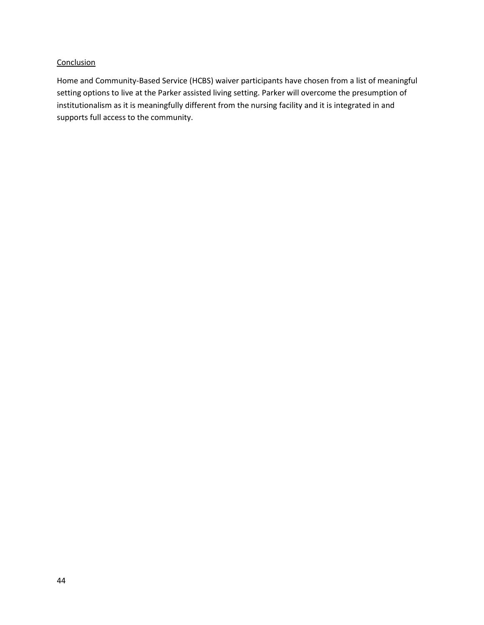Home and Community-Based Service (HCBS) waiver participants have chosen from a list of meaningful setting options to live at the Parker assisted living setting. Parker will overcome the presumption of institutionalism as it is meaningfully different from the nursing facility and it is integrated in and supports full access to the community.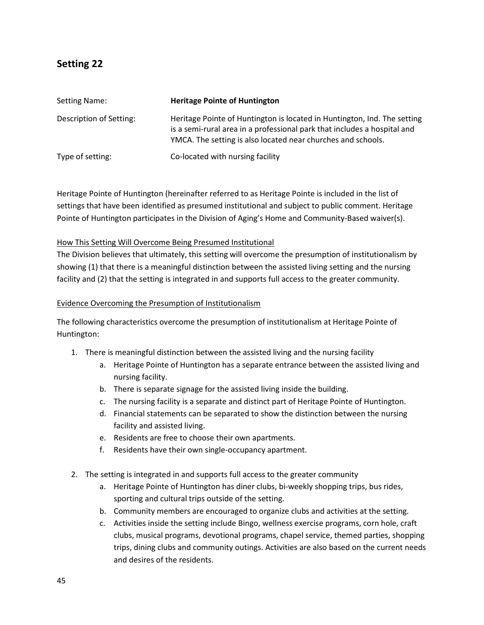| Setting Name:           | <b>Heritage Pointe of Huntington</b>                                                                                                                                                                                 |
|-------------------------|----------------------------------------------------------------------------------------------------------------------------------------------------------------------------------------------------------------------|
| Description of Setting: | Heritage Pointe of Huntington is located in Huntington, Ind. The setting<br>is a semi-rural area in a professional park that includes a hospital and<br>YMCA. The setting is also located near churches and schools. |
| Type of setting:        | Co-located with nursing facility                                                                                                                                                                                     |

 Heritage Pointe of Huntington (hereinafter referred to as Heritage Pointe is included in the list of settings that have been identified as presumed institutional and subject to public comment. Heritage Pointe of Huntington participates in the Division of Aging's Home and Community-Based waiver(s).

## How This Setting Will Overcome Being Presumed Institutional

 The Division believes that ultimately, this setting will overcome the presumption of institutionalism by showing (1) that there is a meaningful distinction between the assisted living setting and the nursing facility and (2) that the setting is integrated in and supports full access to the greater community.

## Evidence Overcoming the Presumption of Institutionalism

 The following characteristics overcome the presumption of institutionalism at Heritage Pointe of Huntington:

- 1. There is meaningful distinction between the assisted living and the nursing facility
	- a. Heritage Pointe of Huntington has a separate entrance between the assisted living and nursing facility.
	- b. There is separate signage for the assisted living inside the building.
	- c. The nursing facility is a separate and distinct part of Heritage Pointe of Huntington.
	- d. Financial statements can be separated to show the distinction between the nursing facility and assisted living.
	- e. Residents are free to choose their own apartments.
	- f. Residents have their own single-occupancy apartment.
- 2. The setting is integrated in and supports full access to the greater community
	- a. Heritage Pointe of Huntington has diner clubs, bi-weekly shopping trips, bus rides, sporting and cultural trips outside of the setting.
	- b. Community members are encouraged to organize clubs and activities at the setting.
	- c. Activities inside the setting include Bingo, wellness exercise programs, corn hole, craft clubs, musical programs, devotional programs, chapel service, themed parties, shopping trips, dining clubs and community outings. Activities are also based on the current needs and desires of the residents.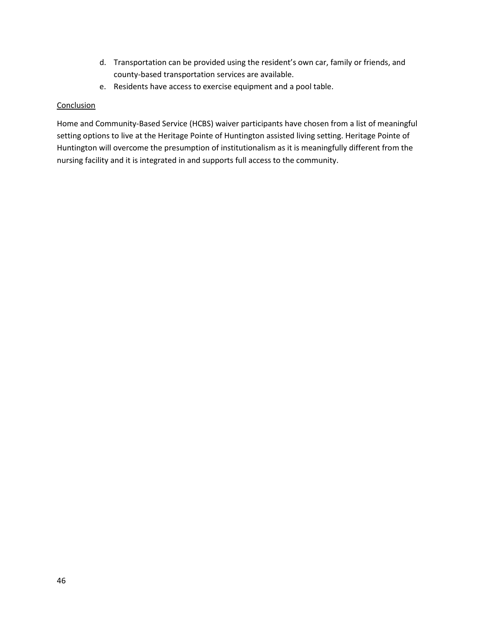- d. Transportation can be provided using the resident's own car, family or friends, and county-based transportation services are available.
- e. Residents have access to exercise equipment and a pool table.

 Home and Community-Based Service (HCBS) waiver participants have chosen from a list of meaningful setting options to live at the Heritage Pointe of Huntington assisted living setting. Heritage Pointe of Huntington will overcome the presumption of institutionalism as it is meaningfully different from the nursing facility and it is integrated in and supports full access to the community.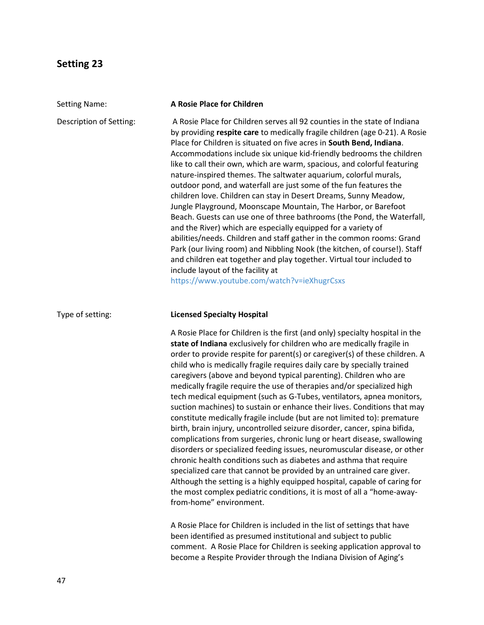| <b>Setting Name:</b>    | A Rosie Place for Children                                                                                                                                                                                                                                                                                                                                                                                                                                                                                                                                                                                                                                                                                                                                                                                                                                                                                                                                                                                                                                                                                                                                                                                                                                           |
|-------------------------|----------------------------------------------------------------------------------------------------------------------------------------------------------------------------------------------------------------------------------------------------------------------------------------------------------------------------------------------------------------------------------------------------------------------------------------------------------------------------------------------------------------------------------------------------------------------------------------------------------------------------------------------------------------------------------------------------------------------------------------------------------------------------------------------------------------------------------------------------------------------------------------------------------------------------------------------------------------------------------------------------------------------------------------------------------------------------------------------------------------------------------------------------------------------------------------------------------------------------------------------------------------------|
| Description of Setting: | A Rosie Place for Children serves all 92 counties in the state of Indiana<br>by providing respite care to medically fragile children (age 0-21). A Rosie<br>Place for Children is situated on five acres in South Bend, Indiana.<br>Accommodations include six unique kid-friendly bedrooms the children<br>like to call their own, which are warm, spacious, and colorful featuring<br>nature-inspired themes. The saltwater aquarium, colorful murals,<br>outdoor pond, and waterfall are just some of the fun features the<br>children love. Children can stay in Desert Dreams, Sunny Meadow,<br>Jungle Playground, Moonscape Mountain, The Harbor, or Barefoot<br>Beach. Guests can use one of three bathrooms (the Pond, the Waterfall,<br>and the River) which are especially equipped for a variety of<br>abilities/needs. Children and staff gather in the common rooms: Grand<br>Park (our living room) and Nibbling Nook (the kitchen, of course!). Staff<br>and children eat together and play together. Virtual tour included to<br>include layout of the facility at<br>https://www.youtube.com/watch?v=ieXhugrCsxs                                                                                                                                    |
| Type of setting:        | <b>Licensed Specialty Hospital</b>                                                                                                                                                                                                                                                                                                                                                                                                                                                                                                                                                                                                                                                                                                                                                                                                                                                                                                                                                                                                                                                                                                                                                                                                                                   |
|                         | A Rosie Place for Children is the first (and only) specialty hospital in the<br>state of Indiana exclusively for children who are medically fragile in<br>order to provide respite for parent(s) or caregiver(s) of these children. A<br>child who is medically fragile requires daily care by specially trained<br>caregivers (above and beyond typical parenting). Children who are<br>medically fragile require the use of therapies and/or specialized high<br>tech medical equipment (such as G-Tubes, ventilators, apnea monitors,<br>suction machines) to sustain or enhance their lives. Conditions that may<br>constitute medically fragile include (but are not limited to): premature<br>birth, brain injury, uncontrolled seizure disorder, cancer, spina bifida,<br>complications from surgeries, chronic lung or heart disease, swallowing<br>disorders or specialized feeding issues, neuromuscular disease, or other<br>chronic health conditions such as diabetes and asthma that require<br>specialized care that cannot be provided by an untrained care giver.<br>Although the setting is a highly equipped hospital, capable of caring for<br>the most complex pediatric conditions, it is most of all a "home-away-<br>from-home" environment. |
|                         | A Rosie Place for Children is included in the list of settings that have<br>been identified as presumed institutional and subject to public<br>comment. A Rosie Place for Children is seeking application approval to<br>become a Respite Provider through the Indiana Division of Aging's                                                                                                                                                                                                                                                                                                                                                                                                                                                                                                                                                                                                                                                                                                                                                                                                                                                                                                                                                                           |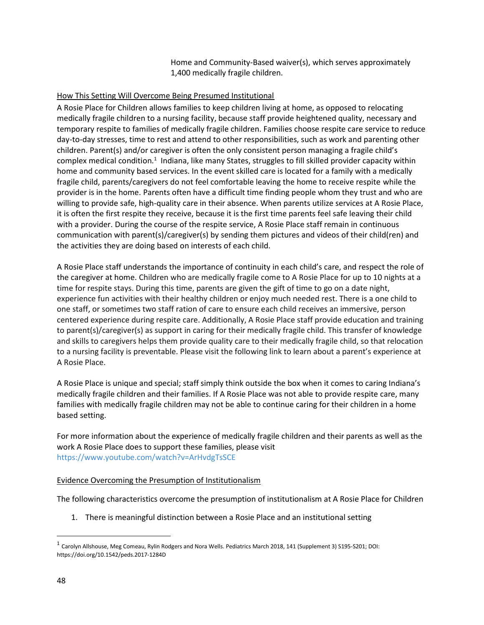Home and Community-Based waiver(s), which serves approximately 1,400 medically fragile children.

## How This Setting Will Overcome Being Presumed Institutional

 A Rosie Place for Children allows families to keep children living at home, as opposed to relocating medically fragile children to a nursing facility, because staff provide heightened quality, necessary and temporary respite to families of medically fragile children. Families choose respite care service to reduce day-to-day stresses, time to rest and attend to other responsibilities, such as work and parenting other children. Parent(s) and/or caregiver is often the only consistent person managing a fragile child's complex medical condition.<sup>1</sup> Indiana, like many States, struggles to fill skilled provider capacity within home and community based services. In the event skilled care is located for a family with a medically fragile child, parents/caregivers do not feel comfortable leaving the home to receive respite while the provider is in the home. Parents often have a difficult time finding people whom they trust and who are willing to provide safe, high-quality care in their absence. When parents utilize services at A Rosie Place, it is often the first respite they receive, because it is the first time parents feel safe leaving their child with a provider. During the course of the respite service, A Rosie Place staff remain in continuous communication with parent(s)/caregiver(s) by sending them pictures and videos of their child(ren) and the activities they are doing based on interests of each child.

 A Rosie Place staff understands the importance of continuity in each child's care, and respect the role of the caregiver at home. Children who are medically fragile come to A Rosie Place for up to 10 nights at a time for respite stays. During this time, parents are given the gift of time to go on a date night, experience fun activities with their healthy children or enjoy much needed rest. There is a one child to one staff, or sometimes two staff ration of care to ensure each child receives an immersive, person centered experience during respite care. Additionally, A Rosie Place staff provide education and training to parent(s)/caregiver(s) as support in caring for their medically fragile child. This transfer of knowledge and skills to caregivers helps them provide quality care to their medically fragile child, so that relocation to a nursing facility is preventable. Please visit the following link to learn about a parent's experience at A Rosie Place.

 A Rosie Place is unique and special; staff simply think outside the box when it comes to caring Indiana's medically fragile children and their families. If A Rosie Place was not able to provide respite care, many families with medically fragile children may not be able to continue caring for their children in a home based setting.

 For more information about the experience of medically fragile children and their parents as well as the work A Rosie Place does to support these families, please visit <https://www.youtube.com/watch?v=ArHvdgTsSCE>

### Evidence Overcoming the Presumption of Institutionalism

The following characteristics overcome the presumption of institutionalism at A Rosie Place for Children

1. There is meaningful distinction between a Rosie Place and an institutional setting

 $^1$  Carolyn Allshouse, Meg Comeau, Rylin Rodgers and Nora Wells. Pediatrics March 2018, 141 (Supplement 3) S195-S201; DOI: <https://doi.org/10.1542/peds.2017-1284D>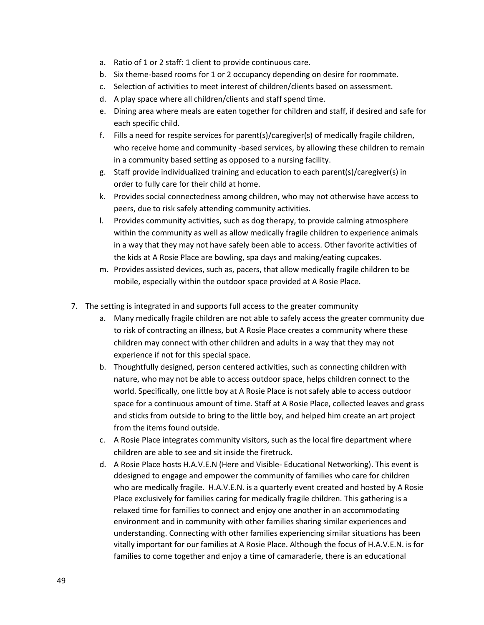- a. Ratio of 1 or 2 staff: 1 client to provide continuous care.
- b. Six theme-based rooms for 1 or 2 occupancy depending on desire for roommate.
- c. Selection of activities to meet interest of children/clients based on assessment.
- d. A play space where all children/clients and staff spend time.
- e. Dining area where meals are eaten together for children and staff, if desired and safe for each specific child.
- f. Fills a need for respite services for parent(s)/caregiver(s) of medically fragile children, who receive home and community -based services, by allowing these children to remain in a community based setting as opposed to a nursing facility.
- g. Staff provide individualized training and education to each parent(s)/caregiver(s) in order to fully care for their child at home.
- k. Provides social connectedness among children, who may not otherwise have access to peers, due to risk safely attending community activities.
- l. Provides community activities, such as dog therapy, to provide calming atmosphere within the community as well as allow medically fragile children to experience animals in a way that they may not have safely been able to access. Other favorite activities of the kids at A Rosie Place are bowling, spa days and making/eating cupcakes.
- m. Provides assisted devices, such as, pacers, that allow medically fragile children to be mobile, especially within the outdoor space provided at A Rosie Place.
- 7. The setting is integrated in and supports full access to the greater community
	- a. Many medically fragile children are not able to safely access the greater community due to risk of contracting an illness, but A Rosie Place creates a community where these children may connect with other children and adults in a way that they may not experience if not for this special space.
	- b. Thoughtfully designed, person centered activities, such as connecting children with nature, who may not be able to access outdoor space, helps children connect to the world. Specifically, one little boy at A Rosie Place is not safely able to access outdoor space for a continuous amount of time. Staff at A Rosie Place, collected leaves and grass and sticks from outside to bring to the little boy, and helped him create an art project from the items found outside.
	- c. A Rosie Place integrates community visitors, such as the local fire department where children are able to see and sit inside the firetruck.
	- d. A Rosie Place hosts H.A.V.E.N (Here and Visible- Educational Networking). This event is ddesigned to engage and empower the community of families who care for children who are medically fragile. H.A.V.E.N. is a quarterly event created and hosted by A Rosie Place exclusively for families caring for medically fragile children. This gathering is a relaxed time for families to connect and enjoy one another in an accommodating environment and in community with other families sharing similar experiences and understanding. Connecting with other families experiencing similar situations has been vitally important for our families at A Rosie Place. Although the focus of H.A.V.E.N. is for families to come together and enjoy a time of camaraderie, there is an educational